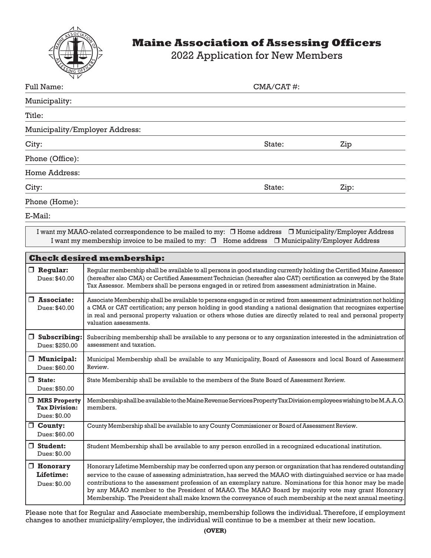

## **Maine Association of Assessing Officers**

2022 Application for New Members

| $\mathbf{v}$<br><b>Full Name:</b> | $CMA/CAT$ #: |      |  |  |  |
|-----------------------------------|--------------|------|--|--|--|
| Municipality:                     |              |      |  |  |  |
| Title:                            |              |      |  |  |  |
| Municipality/Employer Address:    |              |      |  |  |  |
| City:                             | State:       | Zip  |  |  |  |
| Phone (Office):                   |              |      |  |  |  |
| Home Address:                     |              |      |  |  |  |
| City:                             | State:       | Zip: |  |  |  |
| Phone (Home):                     |              |      |  |  |  |

E-Mail:

I want my MAAO-related correspondence to be mailed to my: □ Home address □ Municipality/Employer Address I want my membership invoice to be mailed to my:  $\Box$  Home address  $\Box$  Municipality/Employer Address

| <b>Check desired membership:</b>                            |                                                                                                                                                                                                                                                                                                                                                                                                                                                                                                                                                         |  |  |  |
|-------------------------------------------------------------|---------------------------------------------------------------------------------------------------------------------------------------------------------------------------------------------------------------------------------------------------------------------------------------------------------------------------------------------------------------------------------------------------------------------------------------------------------------------------------------------------------------------------------------------------------|--|--|--|
| $\Box$ Regular:<br>Dues: \$40.00                            | Regular membership shall be available to all persons in good standing currently holding the Certified Maine Assessor<br>(hereafter also CMA) or Certified Assessment Technician (hereafter also CAT) certification as conveyed by the State<br>Tax Assessor. Members shall be persons engaged in or retired from assessment administration in Maine.                                                                                                                                                                                                    |  |  |  |
| $\Box$ Associate:<br>Dues: \$40.00                          | Associate Membership shall be available to persons engaged in or retired from assessment administration not holding<br>a CMA or CAT certification; any person holding in good standing a national designation that recognizes expertise<br>in real and personal property valuation or others whose duties are directly related to real and personal property<br>valuation assessments.                                                                                                                                                                  |  |  |  |
| $\Box$ Subscribing:<br>Dues: \$250.00                       | Subscribing membership shall be available to any persons or to any organization interested in the administration of<br>assessment and taxation.                                                                                                                                                                                                                                                                                                                                                                                                         |  |  |  |
| $\Box$ Municipal:<br>Dues: \$60.00                          | Municipal Membership shall be available to any Municipality, Board of Assessors and local Board of Assessment<br>Review.                                                                                                                                                                                                                                                                                                                                                                                                                                |  |  |  |
| $\Box$ State:<br>Dues: \$50.00                              | State Membership shall be available to the members of the State Board of Assessment Review.                                                                                                                                                                                                                                                                                                                                                                                                                                                             |  |  |  |
| <b>NRS</b> Property<br><b>Tax Division:</b><br>Dues: \$0.00 | Membership shall be available to the Maine Revenue Services Property Tax Division employees wishing to be M.A.A.O.<br>members.                                                                                                                                                                                                                                                                                                                                                                                                                          |  |  |  |
| $\Box$ County:<br>Dues: \$60.00                             | County Membership shall be available to any County Commissioner or Board of Assessment Review.                                                                                                                                                                                                                                                                                                                                                                                                                                                          |  |  |  |
| $\Box$ Student:<br>Dues: \$0.00                             | Student Membership shall be available to any person enrolled in a recognized educational institution.                                                                                                                                                                                                                                                                                                                                                                                                                                                   |  |  |  |
| $\Box$ Honorary<br>Lifetime:<br>Dues: \$0.00                | Honorary Lifetime Membership may be conferred upon any person or organization that has rendered outstanding<br>service to the cause of assessing administration, has served the MAAO with distinguished service or has made<br>contributions to the assessment profession of an exemplary nature. Nominations for this honor may be made<br>by any MAAO member to the President of MAAO. The MAAO Board by majority vote may grant Honorary<br>Membership. The President shall make known the conveyance of such membership at the next annual meeting. |  |  |  |

Please note that for Regular and Associate membership, membership follows the individual. Therefore, if employment changes to another municipality/employer, the individual will continue to be a member at their new location.